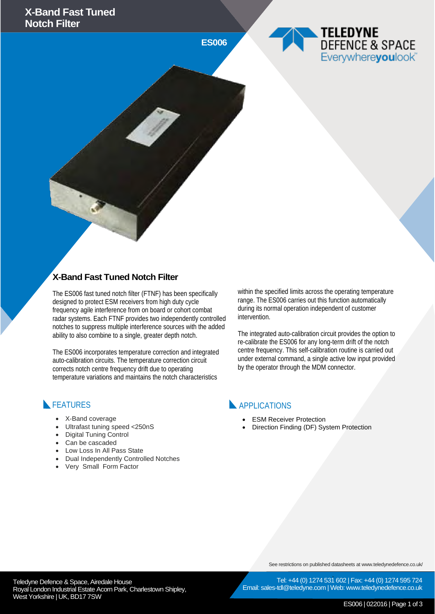**ES006**





#### **X-Band Fast Tuned Notch Filter**

The ES006 fast tuned notch filter (FTNF) has been specifically designed to protect ESM receivers from high duty cycle frequency agile interference from on board or cohort combat radar systems. Each FTNF provides two independently controlled notches to suppress multiple interference sources with the added ability to also combine to a single, greater depth notch.

The ES006 incorporates temperature correction and integrated auto-calibration circuits. The temperature correction circuit corrects notch centre frequency drift due to operating temperature variations and maintains the notch characteristics

within the specified limits across the operating temperature range. The ES006 carries out this function automatically during its normal operation independent of customer intervention.

The integrated auto-calibration circuit provides the option to re-calibrate the ES006 for any long-term drift of the notch centre frequency. This self-calibration routine is carried out under external command, a single active low input provided by the operator through the MDM connector.

#### **FEATURES**

- X-Band coverage
- Ultrafast tuning speed <250nS
- Digital Tuning Control
- Can be cascaded
- Low Loss In All Pass State
- Dual Independently Controlled Notches
- Very Small Form Factor

APPLICATIONS

- ESM Receiver Protection
- Direction Finding (DF) System Protection

See restrictions on published datasheets at www.teledynedefence.co.uk/

Teledyne Defence & Space, Airedale House and the contract of the telectricity of the Telectricity of Tel: +44 (0) 1274 531 Royal London Industrial Estate Acorn Park, Charlestown Shipley, West Yorkshire | UK, BD17 7SW

Tel: +44 (0) 1274 531 602 | Fax: +44 (0) 1274 595 724 Email: sales-tdl@teledyne.com | Web: www.teledynedefence.co.uk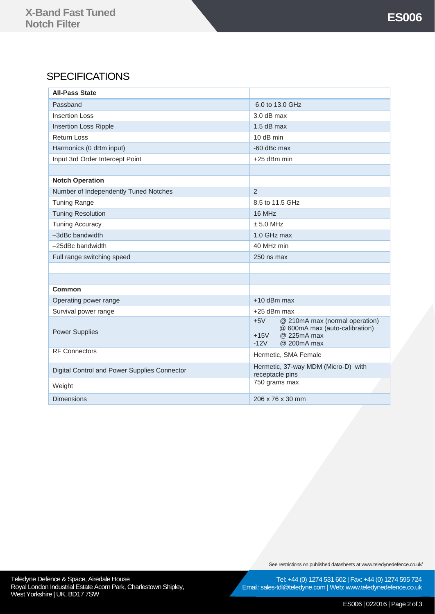### **SPECIFICATIONS**

| <b>All-Pass State</b>                        |                                                                                                                             |
|----------------------------------------------|-----------------------------------------------------------------------------------------------------------------------------|
| Passband                                     | 6.0 to 13.0 GHz                                                                                                             |
| <b>Insertion Loss</b>                        | $3.0$ dB max                                                                                                                |
| <b>Insertion Loss Ripple</b>                 | $1.5$ dB max                                                                                                                |
| <b>Return Loss</b>                           | 10 dB min                                                                                                                   |
| Harmonics (0 dBm input)                      | -60 dBc max                                                                                                                 |
| Input 3rd Order Intercept Point              | +25 dBm min                                                                                                                 |
|                                              |                                                                                                                             |
| <b>Notch Operation</b>                       |                                                                                                                             |
| Number of Independently Tuned Notches        | $\overline{2}$                                                                                                              |
| <b>Tuning Range</b>                          | 8.5 to 11.5 GHz                                                                                                             |
| <b>Tuning Resolution</b>                     | 16 MHz                                                                                                                      |
| <b>Tuning Accuracy</b>                       | ± 5.0 MHz                                                                                                                   |
| -3dBc bandwidth                              | 1.0 GHz max                                                                                                                 |
| -25dBc bandwidth                             | 40 MHz min                                                                                                                  |
| Full range switching speed                   | 250 ns max                                                                                                                  |
|                                              |                                                                                                                             |
|                                              |                                                                                                                             |
| Common                                       |                                                                                                                             |
| Operating power range                        | $+10$ dBm max                                                                                                               |
| Survival power range                         | +25 dBm max                                                                                                                 |
| <b>Power Supplies</b>                        | $+5V$<br>@ 210mA max (normal operation)<br>@ 600mA max (auto-calibration)<br>@ 225mA max<br>$+15V$<br>$-12V$<br>@ 200mA max |
| <b>RF Connectors</b>                         | Hermetic, SMA Female                                                                                                        |
| Digital Control and Power Supplies Connector | Hermetic, 37-way MDM (Micro-D) with<br>receptacle pins                                                                      |
| Weight                                       | 750 grams max                                                                                                               |
| <b>Dimensions</b>                            | 206 x 76 x 30 mm                                                                                                            |

Teledyne Defence & Space, Airedale House **Construction and Construction Construction** Tel: +44 (0) 1274 531 Royal London Industrial Estate Acorn Park, Charlestown Shipley, West Yorkshire | UK, BD17 7SW

See restrictions on published datasheets at www.teledynedefence.co.uk/